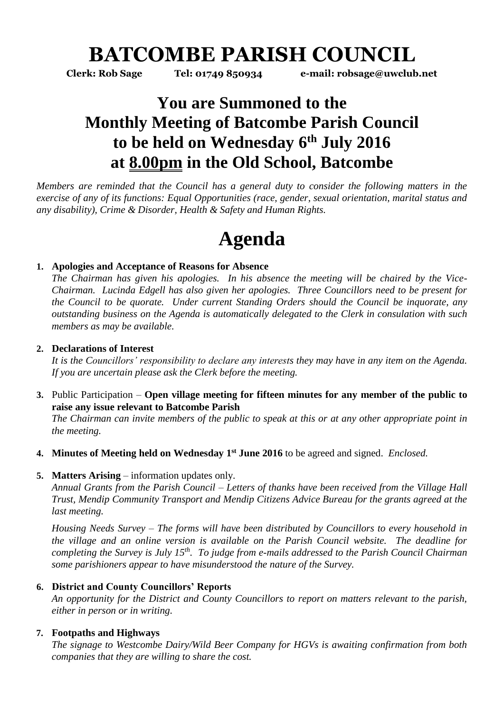## **BATCOMBE PARISH COUNCIL**

**Clerk: Rob Sage Tel: 01749 850934 e-mail: robsage@uwclub.net**

### **You are Summoned to the Monthly Meeting of Batcombe Parish Council to be held on Wednesday 6 th July 2016 at 8.00pm in the Old School, Batcombe**

*Members are reminded that the Council has a general duty to consider the following matters in the exercise of any of its functions: Equal Opportunities (race, gender, sexual orientation, marital status and any disability), Crime & Disorder, Health & Safety and Human Rights.* 

# **Agenda**

#### **1. Apologies and Acceptance of Reasons for Absence**

*The Chairman has given his apologies. In his absence the meeting will be chaired by the Vice-Chairman. Lucinda Edgell has also given her apologies. Three Councillors need to be present for the Council to be quorate. Under current Standing Orders should the Council be inquorate, any outstanding business on the Agenda is automatically delegated to the Clerk in consulation with such members as may be available.* 

#### **2. Declarations of Interest**

*It is the Councillors' responsibility to declare any interests they may have in any item on the Agenda. If you are uncertain please ask the Clerk before the meeting.* 

**3.** Public Participation – **Open village meeting for fifteen minutes for any member of the public to raise any issue relevant to Batcombe Parish**

*The Chairman can invite members of the public to speak at this or at any other appropriate point in the meeting.*

- **4. Minutes of Meeting held on Wednesday 1 st June 2016** to be agreed and signed. *Enclosed.*
- **5. Matters Arising** information updates only.

*Annual Grants from the Parish Council – Letters of thanks have been received from the Village Hall Trust, Mendip Community Transport and Mendip Citizens Advice Bureau for the grants agreed at the last meeting.* 

*Housing Needs Survey – The forms will have been distributed by Councillors to every household in the village and an online version is available on the Parish Council website. The deadline for completing the Survey is July 15th. To judge from e-mails addressed to the Parish Council Chairman some parishioners appear to have misunderstood the nature of the Survey.* 

#### **6. District and County Councillors' Reports**

*An opportunity for the District and County Councillors to report on matters relevant to the parish, either in person or in writing.* 

#### **7. Footpaths and Highways**

*The signage to Westcombe Dairy/Wild Beer Company for HGVs is awaiting confirmation from both companies that they are willing to share the cost.*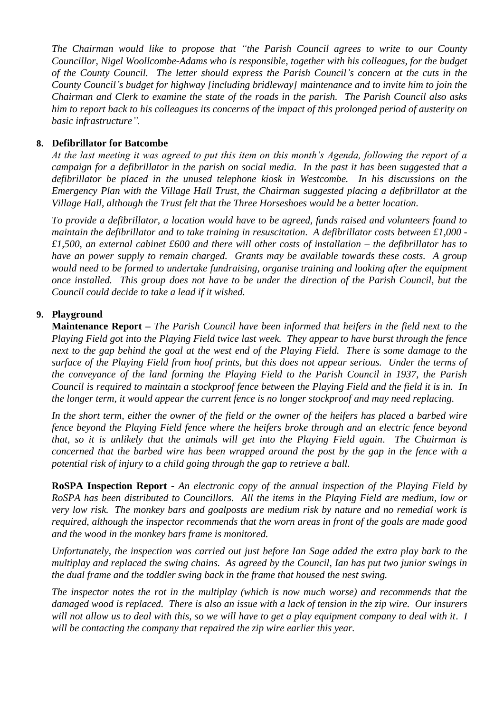*The Chairman would like to propose that "the Parish Council agrees to write to our County Councillor, Nigel Woollcombe-Adams who is responsible, together with his colleagues, for the budget of the County Council. The letter should express the Parish Council's concern at the cuts in the County Council's budget for highway [including bridleway] maintenance and to invite him to join the Chairman and Clerk to examine the state of the roads in the parish. The Parish Council also asks him to report back to his colleagues its concerns of the impact of this prolonged period of austerity on basic infrastructure".* 

#### **8. Defibrillator for Batcombe**

*At the last meeting it was agreed to put this item on this month's Agenda, following the report of a campaign for a defibrillator in the parish on social media. In the past it has been suggested that a defibrillator be placed in the unused telephone kiosk in Westcombe. In his discussions on the Emergency Plan with the Village Hall Trust, the Chairman suggested placing a defibrillator at the Village Hall, although the Trust felt that the Three Horseshoes would be a better location.* 

*To provide a defibrillator, a location would have to be agreed, funds raised and volunteers found to maintain the defibrillator and to take training in resuscitation. A defibrillator costs between £1,000 - £1,500, an external cabinet £600 and there will other costs of installation – the defibrillator has to have an power supply to remain charged. Grants may be available towards these costs. A group would need to be formed to undertake fundraising, organise training and looking after the equipment once installed. This group does not have to be under the direction of the Parish Council, but the Council could decide to take a lead if it wished.* 

#### **9. Playground**

**Maintenance Report –** *The Parish Council have been informed that heifers in the field next to the Playing Field got into the Playing Field twice last week. They appear to have burst through the fence next to the gap behind the goal at the west end of the Playing Field. There is some damage to the surface of the Playing Field from hoof prints, but this does not appear serious. Under the terms of the conveyance of the land forming the Playing Field to the Parish Council in 1937, the Parish Council is required to maintain a stockproof fence between the Playing Field and the field it is in. In the longer term, it would appear the current fence is no longer stockproof and may need replacing.*

*In the short term, either the owner of the field or the owner of the heifers has placed a barbed wire fence beyond the Playing Field fence where the heifers broke through and an electric fence beyond that, so it is unlikely that the animals will get into the Playing Field again. The Chairman is concerned that the barbed wire has been wrapped around the post by the gap in the fence with a potential risk of injury to a child going through the gap to retrieve a ball.*

**RoSPA Inspection Report -** *An electronic copy of the annual inspection of the Playing Field by RoSPA has been distributed to Councillors. All the items in the Playing Field are medium, low or very low risk. The monkey bars and goalposts are medium risk by nature and no remedial work is required, although the inspector recommends that the worn areas in front of the goals are made good and the wood in the monkey bars frame is monitored.*

*Unfortunately, the inspection was carried out just before Ian Sage added the extra play bark to the multiplay and replaced the swing chains. As agreed by the Council, Ian has put two junior swings in the dual frame and the toddler swing back in the frame that housed the nest swing.*

*The inspector notes the rot in the multiplay (which is now much worse) and recommends that the damaged wood is replaced. There is also an issue with a lack of tension in the zip wire. Our insurers will not allow us to deal with this, so we will have to get a play equipment company to deal with it. I will be contacting the company that repaired the zip wire earlier this year.*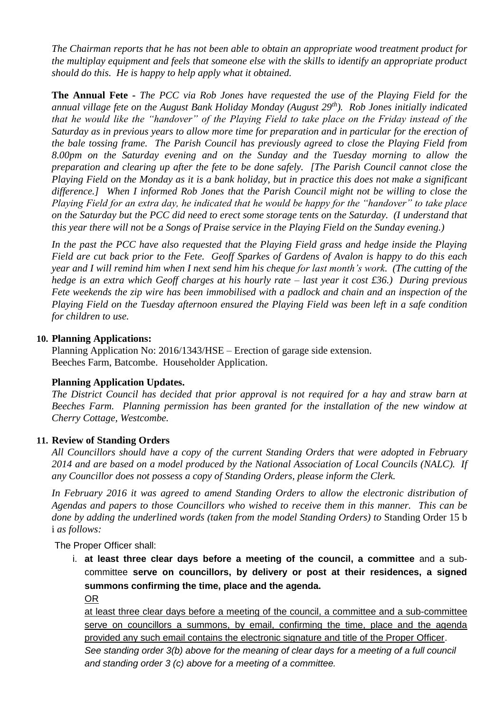*The Chairman reports that he has not been able to obtain an appropriate wood treatment product for the multiplay equipment and feels that someone else with the skills to identify an appropriate product should do this. He is happy to help apply what it obtained.*

**The Annual Fete -** *The PCC via Rob Jones have requested the use of the Playing Field for the annual village fete on the August Bank Holiday Monday (August 29th ). Rob Jones initially indicated that he would like the "handover" of the Playing Field to take place on the Friday instead of the Saturday as in previous years to allow more time for preparation and in particular for the erection of the bale tossing frame. The Parish Council has previously agreed to close the Playing Field from 8.00pm on the Saturday evening and on the Sunday and the Tuesday morning to allow the preparation and clearing up after the fete to be done safely. [The Parish Council cannot close the Playing Field on the Monday as it is a bank holiday, but in practice this does not make a significant difference.] When I informed Rob Jones that the Parish Council might not be willing to close the Playing Field for an extra day, he indicated that he would be happy for the "handover" to take place on the Saturday but the PCC did need to erect some storage tents on the Saturday. (I understand that this year there will not be a Songs of Praise service in the Playing Field on the Sunday evening.)* 

*In the past the PCC have also requested that the Playing Field grass and hedge inside the Playing Field are cut back prior to the Fete. Geoff Sparkes of Gardens of Avalon is happy to do this each year and I will remind him when I next send him his cheque for last month's work. (The cutting of the hedge is an extra which Geoff charges at his hourly rate – last year it cost £36.) During previous Fete weekends the zip wire has been immobilised with a padlock and chain and an inspection of the Playing Field on the Tuesday afternoon ensured the Playing Field was been left in a safe condition for children to use.*

#### **10. Planning Applications:**

Planning Application No: 2016/1343/HSE – Erection of garage side extension. Beeches Farm, Batcombe. Householder Application.

#### **Planning Application Updates.**

*The District Council has decided that prior approval is not required for a hay and straw barn at Beeches Farm. Planning permission has been granted for the installation of the new window at Cherry Cottage, Westcombe.* 

#### **11. Review of Standing Orders**

*All Councillors should have a copy of the current Standing Orders that were adopted in February 2014 and are based on a model produced by the National Association of Local Councils (NALC). If any Councillor does not possess a copy of Standing Orders, please inform the Clerk.*

*In February 2016 it was agreed to amend Standing Orders to allow the electronic distribution of Agendas and papers to those Councillors who wished to receive them in this manner. This can be done by adding the underlined words (taken from the model Standing Orders) to* Standing Order 15 b i *as follows:*

The Proper Officer shall:

i. **at least three clear days before a meeting of the council, a committee** and a subcommittee **serve on councillors, by delivery or post at their residences, a signed summons confirming the time, place and the agenda.** 

OR

at least three clear days before a meeting of the council, a committee and a sub-committee serve on councillors a summons, by email, confirming the time, place and the agenda provided any such email contains the electronic signature and title of the Proper Officer.

*See standing order 3(b) above for the meaning of clear days for a meeting of a full council and standing order 3 (c) above for a meeting of a committee.*